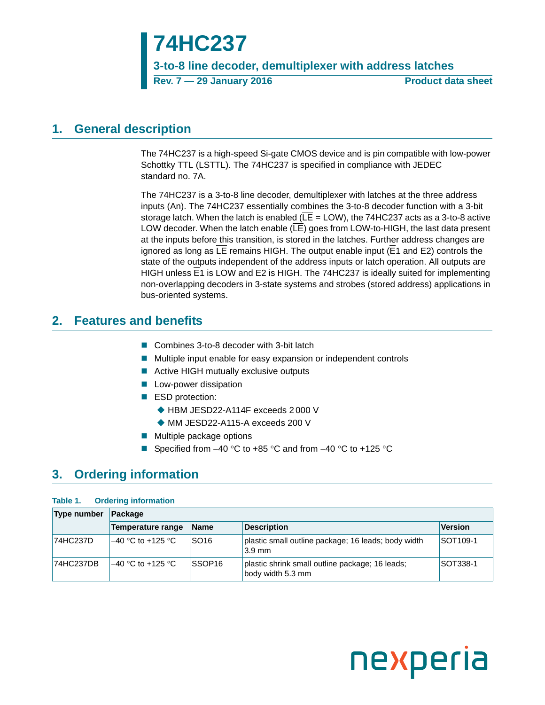## **74HC237**

**3-to-8 line decoder, demultiplexer with address latches**

**Rev. 7 — 29 January 2016 Product data sheet**

### <span id="page-0-0"></span>**1. General description**

The 74HC237 is a high-speed Si-gate CMOS device and is pin compatible with low-power Schottky TTL (LSTTL). The 74HC237 is specified in compliance with JEDEC standard no. 7A.

The 74HC237 is a 3-to-8 line decoder, demultiplexer with latches at the three address inputs (An). The 74HC237 essentially combines the 3-to-8 decoder function with a 3-bit storage latch. When the latch is enabled ( $LE = LOW$ ), the 74HC237 acts as a 3-to-8 active LOW decoder. When the latch enable (LE) goes from LOW-to-HIGH, the last data present at the inputs before this transition, is stored in the latches. Further address changes are ignored as long as LE remains HIGH. The output enable input (E1 and E2) controls the state of the outputs independent of the address inputs or latch operation. All outputs are HIGH unless E1 is LOW and E2 is HIGH. The 74HC237 is ideally suited for implementing non-overlapping decoders in 3-state systems and strobes (stored address) applications in bus-oriented systems.

### <span id="page-0-1"></span>**2. Features and benefits**

- Combines 3-to-8 decoder with 3-bit latch
- **Multiple input enable for easy expansion or independent controls**
- Active HIGH mutually exclusive outputs
- **Low-power dissipation**
- ESD protection:
	- ◆ HBM JESD22-A114F exceeds 2 000 V
	- ◆ MM JESD22-A115-A exceeds 200 V
- **Multiple package options**
- Specified from  $-40$  °C to  $+85$  °C and from  $-40$  °C to  $+125$  °C

### <span id="page-0-2"></span>**3. Ordering information**

#### **Table 1. Ordering information**

| Type number | Package             |                    |                                                                         |                      |  |  |  |  |  |
|-------------|---------------------|--------------------|-------------------------------------------------------------------------|----------------------|--|--|--|--|--|
|             | Temperature range   | <b>Name</b>        | <b>Description</b>                                                      | <b>Version</b>       |  |  |  |  |  |
| 74HC237D    | $-40$ °C to +125 °C | SO <sub>16</sub>   | plastic small outline package; 16 leads; body width<br>$3.9 \text{ mm}$ | SOT <sub>109-1</sub> |  |  |  |  |  |
| 74HC237DB   | $-40$ °C to +125 °C | SSOP <sub>16</sub> | plastic shrink small outline package; 16 leads;<br>body width 5.3 mm    | SOT338-1             |  |  |  |  |  |

# nexperia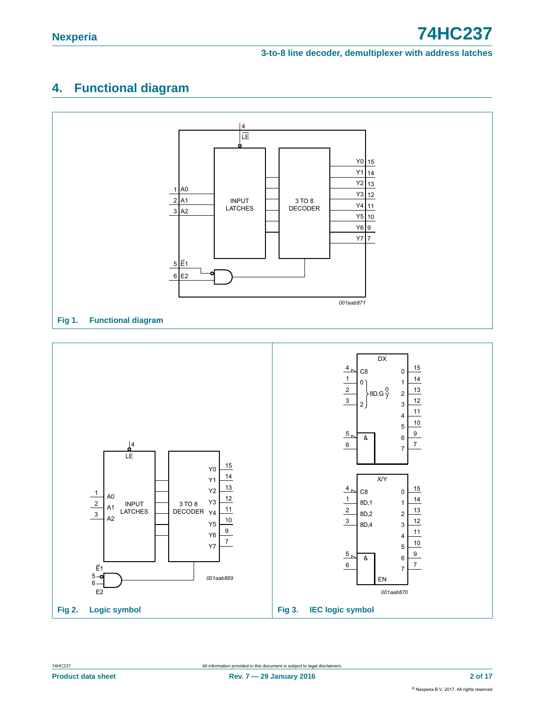### <span id="page-1-0"></span>**4. Functional diagram**



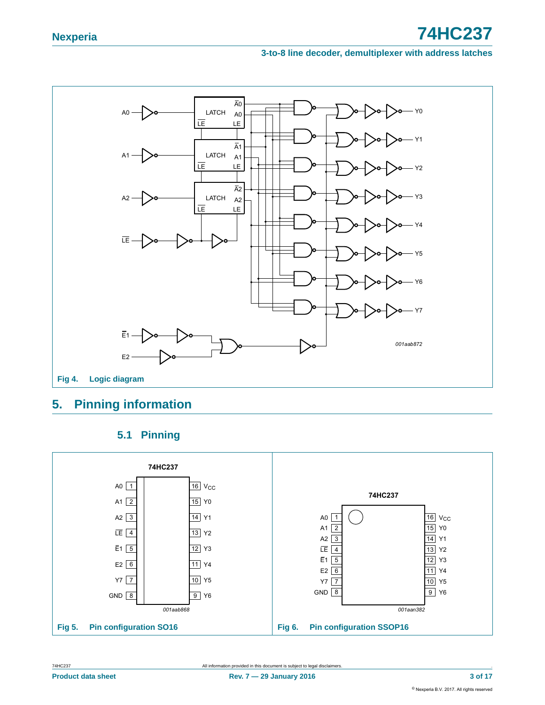

### <span id="page-2-0"></span>**5. Pinning information**

#### **5.1 Pinning**

<span id="page-2-1"></span>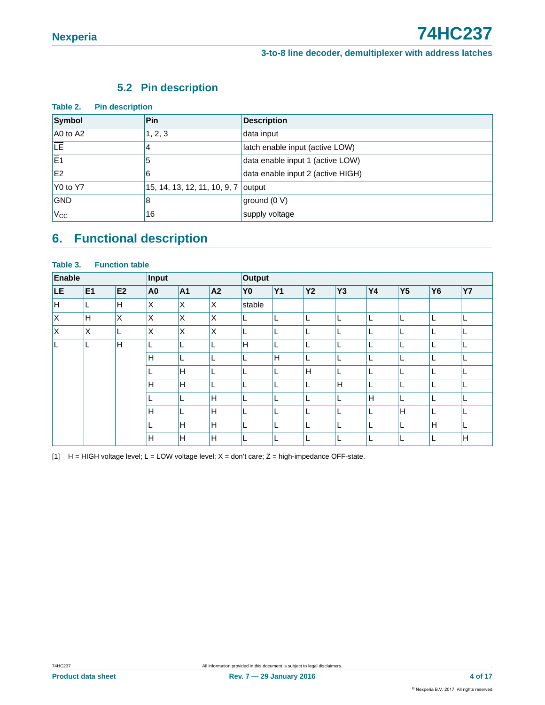### **5.2 Pin description**

<span id="page-3-0"></span>

| Table 2.<br><b>Pin description</b> |                                     |                                   |  |  |  |  |  |  |
|------------------------------------|-------------------------------------|-----------------------------------|--|--|--|--|--|--|
| Symbol                             | Pin                                 | <b>Description</b>                |  |  |  |  |  |  |
| A0 to A2                           | 1, 2, 3                             | data input                        |  |  |  |  |  |  |
| <b>I</b>                           | 4                                   | latch enable input (active LOW)   |  |  |  |  |  |  |
| $\overline{E1}$                    | 5                                   | data enable input 1 (active LOW)  |  |  |  |  |  |  |
| E <sub>2</sub>                     | 6                                   | data enable input 2 (active HIGH) |  |  |  |  |  |  |
| Y0 to Y7                           | 15, 14, 13, 12, 11, 10, 9, 7 output |                                   |  |  |  |  |  |  |
| <b>GND</b>                         | 8                                   | ground (0 V)                      |  |  |  |  |  |  |
| $V_{\rm CC}$                       | 16                                  | supply voltage                    |  |  |  |  |  |  |

### <span id="page-3-1"></span>**6. Functional description**

| Table 3.                |           | <b>Function table</b> |                |         |    |                |               |           |    |    |                |           |           |  |
|-------------------------|-----------|-----------------------|----------------|---------|----|----------------|---------------|-----------|----|----|----------------|-----------|-----------|--|
| Enable                  |           |                       |                | Input   |    |                | <b>Output</b> |           |    |    |                |           |           |  |
| LE.                     | <b>E1</b> | E2                    | A <sub>0</sub> | A1      | A2 | Y <sub>0</sub> | Y1            | <b>Y2</b> | Y3 | Y4 | Y <sub>5</sub> | <b>Y6</b> | <b>Y7</b> |  |
| H                       | L         | H                     | X              | X       | X  | stable         |               |           |    |    |                |           |           |  |
| $\overline{\mathsf{x}}$ | H         | $\mathsf{X}$          | X              | Χ       | X  | L              | ┗             |           | L  | ш  |                |           |           |  |
| $\mathsf{\overline{X}}$ | X         | L                     | X              | $\sf X$ | X  | L              | ┗             | L         | L. | ш  | L              | L         |           |  |
| L<br>┕                  |           | H                     | L              | L       | L  | H              | ┗             | L         | L. | ┕  | L              | L         |           |  |
|                         |           |                       | H              | L       | L  | L              | H             | L         | L  | L  |                | ш         |           |  |
|                         |           |                       |                | H       | ┗  | L.             | ┕             | Н         | L. |    |                |           |           |  |
|                         |           |                       | H              | H       | L  | L              | ┗             | L         | ΙH | ┗  | L              |           |           |  |
|                         |           |                       |                | ┗       | H  | L.             |               | L         | ш  | H  | L              |           |           |  |
|                         |           |                       | H              | L.      | H  | L              | ┕             | L         | L  | ┗  | H              | L         |           |  |
|                         |           |                       | ш              | H       | Н  | L              | ┕             | ┗         | ┗  | ┕  | L              | ΙH        |           |  |
|                         |           |                       | H              | H       | Н  | L              | ┕             | ┗         | L. | ┗  | ш              | L.        | H         |  |

[1]  $H = HIGH$  voltage level;  $L = LOW$  voltage level;  $X = don't$  care;  $Z = high-impedance$  OFF-state.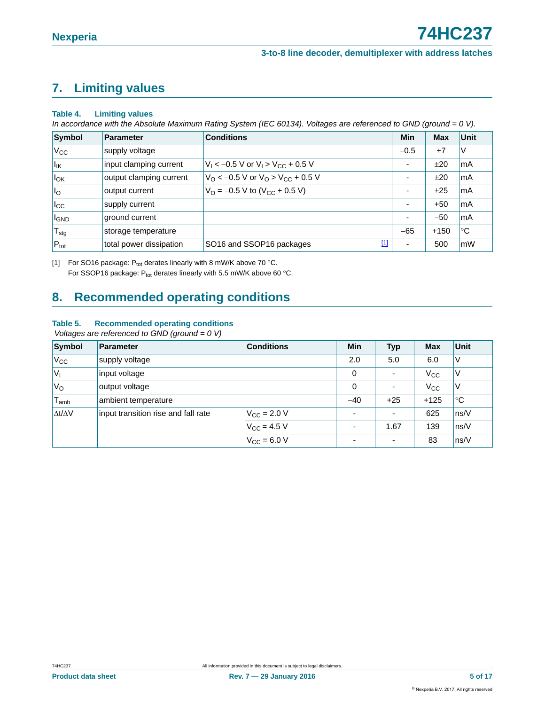### <span id="page-4-1"></span>**7. Limiting values**

#### **Table 4. Limiting values**

*In accordance with the Absolute Maximum Rating System (IEC 60134). Voltages are referenced to GND (ground = 0 V).*

| Symbol                           | <b>Parameter</b>        | <b>Conditions</b>                                             | Min                      | <b>Max</b> | Unit        |
|----------------------------------|-------------------------|---------------------------------------------------------------|--------------------------|------------|-------------|
| $V_{\rm CC}$                     | supply voltage          |                                                               | $-0.5$                   | $+7$       | V           |
| lık                              | input clamping current  | $V_1 < -0.5$ V or $V_1 > V_{CC} + 0.5$ V                      | $\overline{\phantom{a}}$ | ±20        | mA          |
| lok                              | output clamping current | $V_{\rm O}$ < -0.5 V or $V_{\rm O}$ > V <sub>CC</sub> + 0.5 V | $\overline{\phantom{a}}$ | ±20        | mA          |
| I <sub>O</sub>                   | output current          | $V_{\text{O}} = -0.5 \text{ V}$ to (V <sub>CC</sub> + 0.5 V)  | $\overline{\phantom{a}}$ | ±25        | mA          |
| $I_{\rm CC}$                     | supply current          |                                                               | $\overline{\phantom{a}}$ | $+50$      | mA          |
| <b>I</b> GND                     | ground current          |                                                               | $\overline{\phantom{0}}$ | $-50$      | mA          |
| $^{\shortmid}$ T $_{\text{stg}}$ | storage temperature     |                                                               | $-65$                    | $+150$     | $^{\circ}C$ |
| $P_{\text{tot}}$                 | total power dissipation | $[1]$<br>SO16 and SSOP16 packages                             | $\overline{\phantom{a}}$ | 500        | mW          |

<span id="page-4-0"></span>[1] For SO16 package:  $P_{tot}$  derates linearly with 8 mW/K above 70 °C. For SSOP16 package:  $P_{tot}$  derates linearly with 5.5 mW/K above 60 °C.

### <span id="page-4-2"></span>**8. Recommended operating conditions**

#### **Table 5. Recommended operating conditions**

 *Voltages are referenced to GND (ground = 0 V)*

| Symbol              | <b>Parameter</b>                    | <b>Conditions</b>    | Min                      | <b>Typ</b> | Max          | <b>Unit</b> |
|---------------------|-------------------------------------|----------------------|--------------------------|------------|--------------|-------------|
| $V_{\rm CC}$        | supply voltage                      |                      | 2.0                      | 5.0        | 6.0          | V           |
| $ V_1$              | input voltage                       |                      | $\mathbf 0$              |            | $V_{\rm CC}$ | ν           |
| $V_{\rm O}$         | output voltage                      |                      | 0                        | ۰          | $V_{\rm CC}$ | ٧           |
| $T_{amb}$           | ambient temperature                 |                      | $-40$                    | $+25$      | $+125$       | $^{\circ}C$ |
| $\Delta t/\Delta V$ | input transition rise and fall rate | $V_{\rm CC}$ = 2.0 V | $\overline{\phantom{0}}$ |            | 625          | ns/V        |
|                     |                                     | $V_{\rm CC}$ = 4.5 V | $\overline{\phantom{0}}$ | 1.67       | 139          | ns/V        |
|                     |                                     | $V_{CC} = 6.0 V$     | $\overline{\phantom{0}}$ |            | 83           | ns/V        |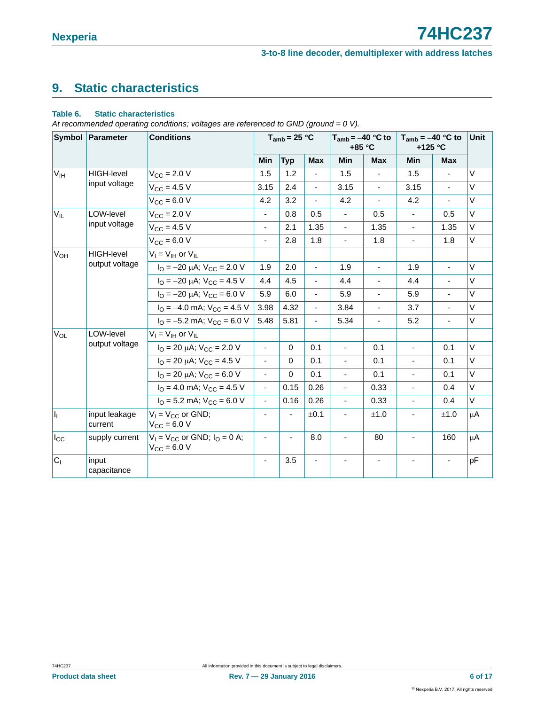### <span id="page-5-0"></span>**9. Static characteristics**

#### **Table 6. Static characteristics**

*At recommended operating conditions; voltages are referenced to GND (ground = 0 V).*

|                 | Symbol Parameter         | <b>Conditions</b>                                                 |                          | $T_{amb}$ = 25 °C |                | $T_{amb} = -40 °C$ to    | $+85 °C$                 | $T_{amb} = -40 °C$ to<br>$+125$ °C |                          | <b>Unit</b> |
|-----------------|--------------------------|-------------------------------------------------------------------|--------------------------|-------------------|----------------|--------------------------|--------------------------|------------------------------------|--------------------------|-------------|
|                 |                          |                                                                   | Min                      | <b>Typ</b>        | <b>Max</b>     | Min                      | <b>Max</b>               | Min                                | <b>Max</b>               |             |
| $V_{\text{IH}}$ | <b>HIGH-level</b>        | $V_{CC} = 2.0 V$                                                  | 1.5                      | 1.2               |                | 1.5                      |                          | 1.5                                | $\blacksquare$           | $\vee$      |
|                 | input voltage            | $V_{CC} = 4.5 V$                                                  | 3.15                     | 2.4               | $\blacksquare$ | 3.15                     | $\blacksquare$           | 3.15                               | $\blacksquare$           | $\vee$      |
|                 |                          | $V_{CC} = 6.0 V$                                                  | 4.2                      | 3.2               | $\blacksquare$ | 4.2                      | $\overline{\phantom{0}}$ | 4.2                                | $\overline{\phantom{a}}$ | V           |
| $V_{IL}$        | LOW-level                | $V_{\rm CC} = 2.0 V$                                              | $\blacksquare$           | 0.8               | 0.5            | $\overline{\phantom{a}}$ | 0.5                      | $\overline{\phantom{a}}$           | 0.5                      | V           |
|                 | input voltage            | $V_{CC} = 4.5 V$                                                  | $\overline{\phantom{a}}$ | 2.1               | 1.35           | $\overline{\phantom{a}}$ | 1.35                     | $\blacksquare$                     | 1.35                     | V           |
|                 |                          | $V_{CC} = 6.0 V$                                                  | $\blacksquare$           | 2.8               | 1.8            | $\blacksquare$           | 1.8                      | ä,                                 | 1.8                      | $\vee$      |
| V <sub>OH</sub> | <b>HIGH-level</b>        | $V_I = V_{IH}$ or $V_{IL}$                                        |                          |                   |                |                          |                          |                                    |                          |             |
|                 | output voltage           | $I_{\Omega}$ = -20 $\mu$ A; V <sub>CC</sub> = 2.0 V               | 1.9                      | 2.0               | ä,             | 1.9                      | $\overline{a}$           | 1.9                                | $\mathbf{r}$             | $\vee$      |
|                 |                          | $I_{\Omega}$ = -20 µA; $V_{\text{CC}}$ = 4.5 V                    | 4.4                      | 4.5               | $\blacksquare$ | 4.4                      | $\overline{a}$           | 4.4                                | $\mathbf{r}$             | $\vee$      |
|                 |                          | $I_{\Omega} = -20 \mu A$ ; $V_{CC} = 6.0 V$                       | 5.9                      | 6.0               | $\blacksquare$ | 5.9                      | $\overline{\phantom{a}}$ | 5.9                                | $\blacksquare$           | V           |
|                 |                          | $I_{\Omega} = -4.0$ mA; $V_{\text{CC}} = 4.5$ V                   | 3.98                     | 4.32              | $\blacksquare$ | 3.84                     | $\overline{\phantom{a}}$ | 3.7                                | $\blacksquare$           | V           |
|                 |                          | $I_{\Omega} = -5.2$ mA; $V_{\text{CC}} = 6.0$ V                   | 5.48                     | 5.81              | $\blacksquare$ | 5.34                     |                          | 5.2                                |                          | $\vee$      |
| $V_{OL}$        | LOW-level                | $V_I = V_{IH}$ or $V_{IL}$                                        |                          |                   |                |                          |                          |                                    |                          |             |
|                 | output voltage           | $I_{\text{O}} = 20 \mu\text{A}$ ; $V_{\text{CC}} = 2.0 \text{ V}$ | $\overline{a}$           | $\mathbf 0$       | 0.1            |                          | 0.1                      | ÷,                                 | 0.1                      | $\vee$      |
|                 |                          | $I_{\Omega}$ = 20 µA; $V_{\text{CC}}$ = 4.5 V                     | $\overline{a}$           | $\mathbf 0$       | 0.1            |                          | 0.1                      | L.                                 | 0.1                      | $\vee$      |
|                 |                          | $I_{\Omega}$ = 20 µA; $V_{\text{CC}}$ = 6.0 V                     | $\blacksquare$           | $\Omega$          | 0.1            |                          | 0.1                      | ÷,                                 | 0.1                      | $\vee$      |
|                 |                          | $I_{\text{O}}$ = 4.0 mA; $V_{\text{CC}}$ = 4.5 V                  | ÷,                       | 0.15              | 0.26           | $\blacksquare$           | 0.33                     | ä,                                 | 0.4                      | $\vee$      |
|                 |                          | $I_{\text{O}}$ = 5.2 mA; $V_{\text{CC}}$ = 6.0 V                  | $\blacksquare$           | 0.16              | 0.26           | $\blacksquare$           | 0.33                     | ä,                                 | 0.4                      | V           |
| h,              | input leakage<br>current | $V_1 = V_{CC}$ or GND;<br>$V_{CC} = 6.0 V$                        | $\blacksquare$           |                   | ±0.1           | ÷,                       | ±1.0                     | ÷,                                 | ±1.0                     | μA          |
| $I_{\rm CC}$    | supply current           | $V_1 = V_{CC}$ or GND; $I_Q = 0$ A;<br>$V_{CC}$ = 6.0 V           | $\overline{\phantom{a}}$ | ä,                | 8.0            |                          | 80                       | $\blacksquare$                     | 160                      | μA          |
| C <sub>1</sub>  | input<br>capacitance     |                                                                   | $\overline{\phantom{a}}$ | 3.5               |                |                          |                          |                                    |                          | pF          |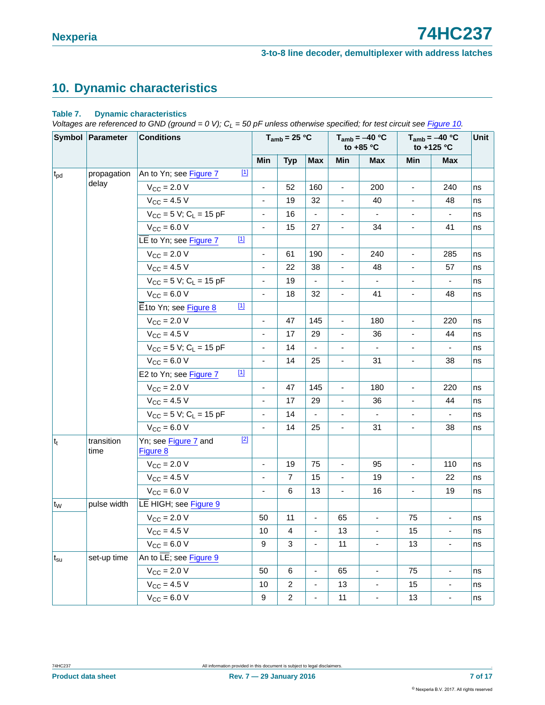### <span id="page-6-0"></span>**10. Dynamic characteristics**

#### **Table 7. Dynamic characteristics**

*Voltages are referenced to GND (ground = 0 V); CL = 50 pF unless otherwise specified; for test circuit see [Figure 10](#page-9-0).*

|              | Symbol Parameter<br><b>Conditions</b> |                                         |       | $T_{amb}$ = 25 °C        |                         |                              | $T_{amb} = -40 °C$<br>to +85 °C |                          | $T_{amb} = -40 °C$<br>to +125 °C |                          | <b>Unit</b>            |
|--------------|---------------------------------------|-----------------------------------------|-------|--------------------------|-------------------------|------------------------------|---------------------------------|--------------------------|----------------------------------|--------------------------|------------------------|
|              |                                       |                                         |       | Min                      | <b>Typ</b>              | <b>Max</b>                   | Min                             | <b>Max</b>               | Min                              | <b>Max</b>               |                        |
| $t_{\rm pd}$ | propagation                           | An to Yn; see Figure 7                  | $[1]$ |                          |                         |                              |                                 |                          |                                  |                          |                        |
|              | delay                                 | $V_{\text{CC}} = 2.0 V$                 |       | $\blacksquare$           | 52                      | 160                          | $\blacksquare$                  | 200                      | $\blacksquare$                   | 240                      | ns                     |
|              |                                       | $V_{CC}$ = 4.5 V                        |       |                          | 19                      | 32                           | $\frac{1}{2}$                   | 40                       | $\overline{\phantom{0}}$         | 48                       | ns                     |
|              |                                       | $V_{CC} = 5 V$ ; C <sub>L</sub> = 15 pF |       | $\overline{\phantom{a}}$ | 16                      | $\frac{1}{2}$                | $\frac{1}{2}$                   | $\blacksquare$           | $\blacksquare$                   | $\blacksquare$           | ns                     |
|              |                                       | $V_{CC} = 6.0 V$                        |       | $\blacksquare$           | 15                      | 27                           | $\overline{a}$                  | 34                       | $\blacksquare$                   | 41                       | ns                     |
|              |                                       | $LE$ to Yn; see Figure 7                | $[1]$ |                          |                         |                              |                                 |                          |                                  |                          |                        |
|              |                                       | $V_{\text{CC}} = 2.0 V$                 |       | $\overline{\phantom{a}}$ | 61                      | 190                          | $\frac{1}{2}$                   | 240                      | $\blacksquare$                   | 285                      | ns                     |
|              |                                       | $V_{CC} = 4.5 V$                        |       | $\blacksquare$           | 22                      | 38                           | $\blacksquare$                  | 48                       | $\blacksquare$                   | 57                       | ns                     |
|              |                                       | $V_{CC}$ = 5 V; C <sub>L</sub> = 15 pF  |       | $\blacksquare$           | 19                      |                              | $\frac{1}{2}$                   | $\blacksquare$           | $\overline{\phantom{a}}$         | $\blacksquare$           | ns                     |
|              |                                       | $V_{CC}$ = 6.0 V                        |       | $\blacksquare$           | 18                      | 32                           | ÷,                              | 41                       | $\blacksquare$                   | 48                       | ns                     |
|              |                                       | E1to Yn; see Figure 8                   | $[1]$ |                          |                         |                              |                                 |                          |                                  |                          |                        |
|              |                                       | $V_{CC} = 2.0 V$                        |       | $\blacksquare$           | 47                      | 145                          | $\blacksquare$                  | 180                      | $\blacksquare$                   | 220                      | ns                     |
|              |                                       | $V_{CC}$ = 4.5 V                        |       | $\blacksquare$           | 17                      | 29                           | ä,                              | 36                       | $\blacksquare$                   | 44                       | ns                     |
|              |                                       | $V_{CC}$ = 5 V; C <sub>L</sub> = 15 pF  |       | $\blacksquare$           | 14                      | $\overline{a}$               | ÷.                              | $\blacksquare$           | $\blacksquare$                   | $\omega$                 | ns                     |
|              |                                       | $V_{CC}$ = 6.0 V                        |       | $\overline{\phantom{a}}$ | 14                      | 25                           | $\overline{\phantom{a}}$        | 31                       | ÷,                               | 38                       | ns                     |
|              |                                       | E2 to Yn; see Figure 7                  | $[1]$ |                          |                         |                              |                                 |                          |                                  |                          |                        |
|              |                                       | $V_{CC} = 2.0 V$                        |       | $\blacksquare$           | 47                      | 145                          | ä,                              | 180                      | $\blacksquare$                   | 220                      | ns                     |
|              |                                       | $V_{CC}$ = 4.5 V                        |       | $\blacksquare$           | 17                      | 29                           | ÷,                              | 36                       | ÷.                               | 44                       | ns                     |
|              |                                       | $V_{CC} = 5 V$ ; C <sub>L</sub> = 15 pF |       | $\overline{\phantom{a}}$ | 14                      |                              | $\frac{1}{2}$                   |                          | ۰                                | $\blacksquare$           | ns                     |
|              |                                       | $V_{CC} = 6.0 V$                        |       | $\blacksquare$           | 14                      | 25                           | ÷,                              | 31                       | $\blacksquare$                   | 38                       | ns                     |
| $ t_t $      | transition<br>time                    | Yn; see Figure 7 and<br>Figure 8        | $[2]$ |                          |                         |                              |                                 |                          |                                  |                          |                        |
|              |                                       | $V_{\text{CC}} = 2.0 V$                 |       | $\overline{\phantom{a}}$ | 19                      | 75                           | ÷,                              | 95                       | $\overline{\phantom{a}}$         | 110                      | ns                     |
|              |                                       | $V_{CC} = 4.5 V$                        |       |                          | $\overline{7}$          | 15                           |                                 | 19                       |                                  | 22                       | ns                     |
|              |                                       | $V_{\text{CC}} = 6.0 V$                 |       | $\overline{\phantom{a}}$ | 6                       | 13                           | $\frac{1}{2}$                   | 16                       | $\overline{\phantom{a}}$         | 19                       | ns                     |
| $ t_W $      | pulse width                           | LE HIGH; see Figure 9                   |       |                          |                         |                              |                                 |                          |                                  |                          |                        |
|              |                                       | $V_{\text{CC}} = 2.0 V$                 |       | 50                       | 11                      | $\qquad \qquad \blacksquare$ | 65                              | $\blacksquare$           | 75                               | $\blacksquare$           | ns                     |
|              |                                       | $V_{CC}$ = 4.5 V                        |       | $10\,$                   | $\overline{\mathbf{4}}$ |                              | 13                              |                          | 15                               |                          | ns                     |
|              |                                       | $V_{CC}$ = 6.0 V                        |       | 9                        | 3                       | $\overline{\phantom{a}}$     | 11                              | $\blacksquare$           | 13                               | $\overline{\phantom{a}}$ | ns                     |
| $t_{\rm su}$ | set-up time                           | An to LE; see Figure 9                  |       |                          |                         |                              |                                 |                          |                                  |                          |                        |
|              |                                       | $V_{\text{CC}} = 2.0 V$                 |       | 50                       | 6                       |                              | 65                              | $\blacksquare$           | 75                               | $\overline{\phantom{a}}$ | ns                     |
|              |                                       | $V_{CC} = 4.5 V$                        |       | 10                       | $\overline{c}$          |                              | 13                              | -                        | 15                               | -                        | $\overline{\text{ns}}$ |
|              |                                       | $V_{CC} = 6.0 V$                        |       | 9                        | $\overline{c}$          | -                            | 11                              | $\overline{\phantom{a}}$ | 13                               | $\overline{\phantom{a}}$ | n s                    |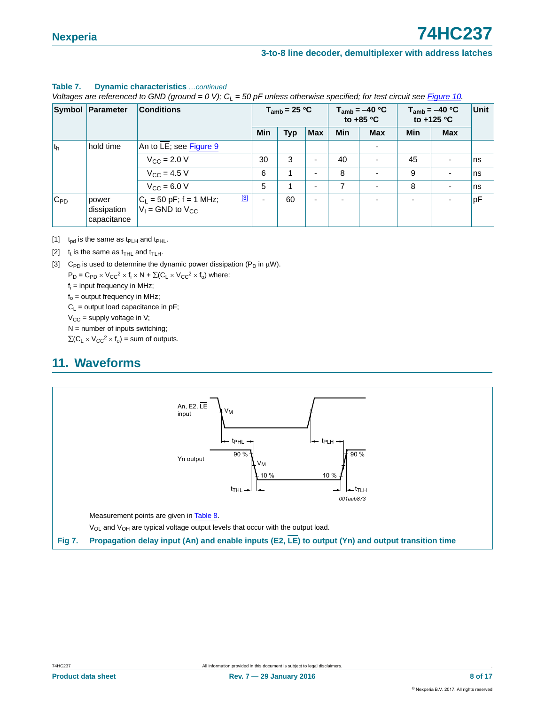#### **Table 7. Dynamic characteristics** *…continued*

*Voltages are referenced to GND (ground = 0 V); CL = 50 pF unless otherwise specified; for test circuit see Figure 10.*

|                      | Symbol Parameter                    | <b>Conditions</b>                                             |     | $T_{amb}$ = 25 °C |                          | $T_{amb} = -40 °C$<br>to $+85$ °C |                          | $T_{amb} = -40 °C$<br>to $+125$ °C |                          | Unit |
|----------------------|-------------------------------------|---------------------------------------------------------------|-----|-------------------|--------------------------|-----------------------------------|--------------------------|------------------------------------|--------------------------|------|
|                      |                                     |                                                               | Min | <b>Typ</b>        | <b>Max</b>               | <b>Min</b>                        | <b>Max</b>               | <b>Min</b>                         | <b>Max</b>               |      |
| hold time<br>$t_{h}$ |                                     | An to LE; see Figure 9                                        |     |                   |                          |                                   |                          |                                    |                          |      |
|                      |                                     | $V_{CC}$ = 2.0 V                                              | 30  | 3                 | $\overline{\phantom{0}}$ | 40                                | $\overline{\phantom{0}}$ | 45                                 | ٠                        | ns   |
|                      |                                     | $V_{CC} = 4.5 V$                                              | 6   | 1                 |                          | 8                                 |                          | 9                                  | $\overline{\phantom{a}}$ | ns   |
|                      |                                     | $V_{CC} = 6.0 V$                                              | 5   | 1                 |                          | 7                                 | $\overline{\phantom{0}}$ | 8                                  | $\overline{\phantom{a}}$ | ns   |
| $C_{PD}$             | power<br>dissipation<br>capacitance | $[3]$<br>$C_1 = 50$ pF; f = 1 MHz;<br>$V_1$ = GND to $V_{CC}$ |     | 60                | $\overline{\phantom{0}}$ | ۰                                 |                          | ۰                                  | ٠                        | pF   |

<span id="page-7-1"></span>[1]  $t_{pd}$  is the same as  $t_{PLH}$  and  $t_{PHL}$ .

#### <span id="page-7-2"></span>[2]  $t_t$  is the same as  $t_{THL}$  and  $t_{TLH}$ .

<span id="page-7-3"></span>[3] C<sub>PD</sub> is used to determine the dynamic power dissipation ( $P_D$  in  $\mu$ W).

 $P_D = C_{PD} \times V_{CC}^2 \times f_i \times N + \Sigma (C_L \times V_{CC}^2 \times f_o)$  where:

fi = input frequency in MHz;

 $f_0$  = output frequency in MHz;

 $C_L$  = output load capacitance in pF;

 $V_{CC}$  = supply voltage in V;

 $N =$  number of inputs switching;

 $\Sigma(C_L \times V_{CC}^2 \times f_0)$  = sum of outputs.

### <span id="page-7-4"></span>**11. Waveforms**

<span id="page-7-0"></span>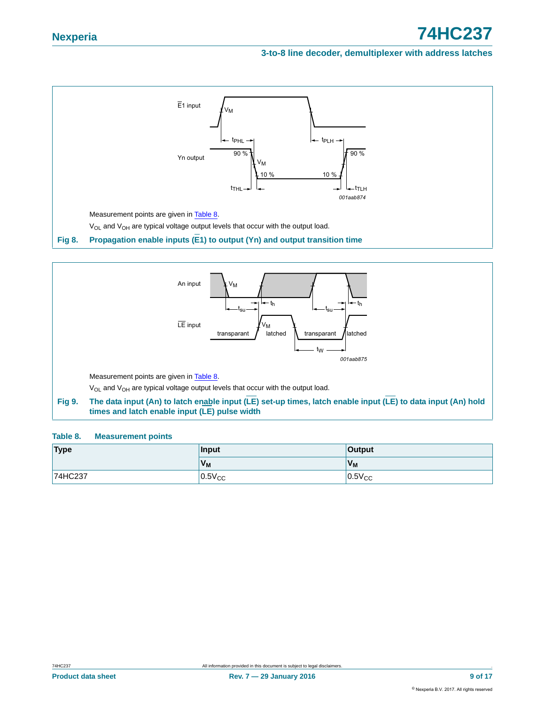

<span id="page-8-0"></span>

#### <span id="page-8-2"></span><span id="page-8-1"></span>**Table 8. Measurement points**

| Type    | Input       | Output         |  |  |
|---------|-------------|----------------|--|--|
|         | $V_M$       | V <sub>M</sub> |  |  |
| 74HC237 | $0.5V_{CC}$ | $0.5V_{CC}$    |  |  |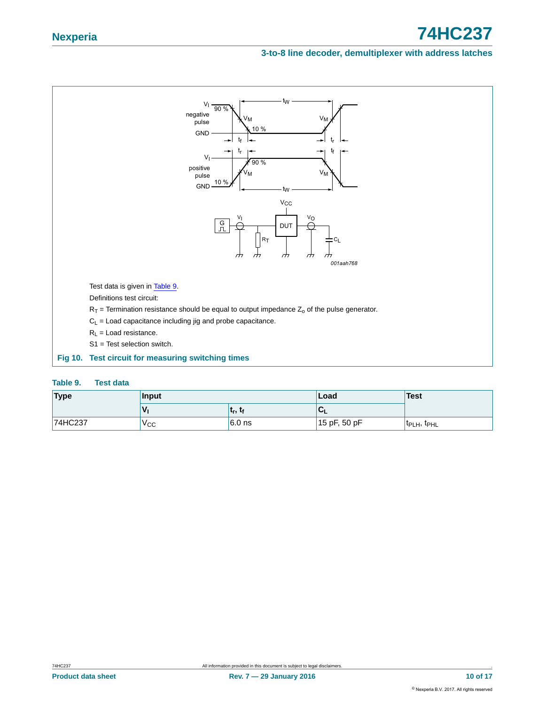

#### <span id="page-9-1"></span><span id="page-9-0"></span>**Table 9. Test data**

| <b>Type</b> | Input        |                   | Load                      | <b>Test</b>                         |
|-------------|--------------|-------------------|---------------------------|-------------------------------------|
|             |              | ∣ւր, ւք           | $\mathbf{v}_{\mathsf{L}}$ |                                     |
| 74HC237     | $V_{\rm CC}$ | 6.0 <sub>ns</sub> | 15 pF, 50 pF              | t <sub>PLH</sub> , t <sub>PHL</sub> |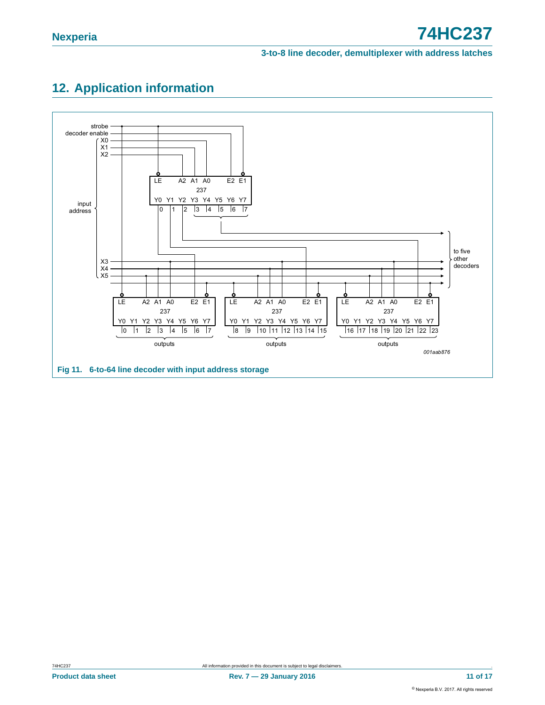### <span id="page-10-0"></span>**12. Application information**

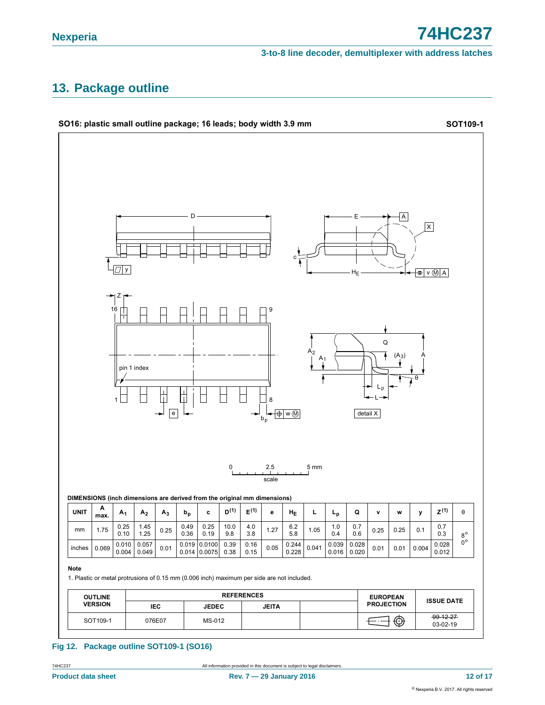### <span id="page-11-0"></span>**13. Package outline**



#### **Fig 12. Package outline SOT109-1 (SO16)**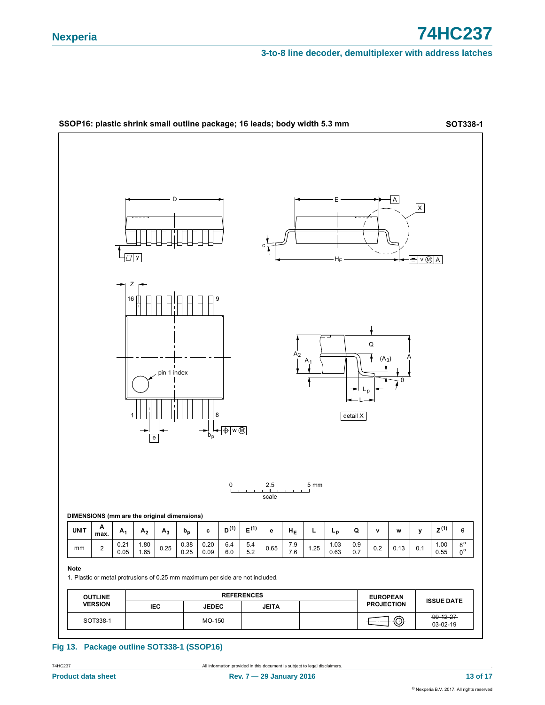

#### **Fig 13. Package outline SOT338-1 (SSOP16)**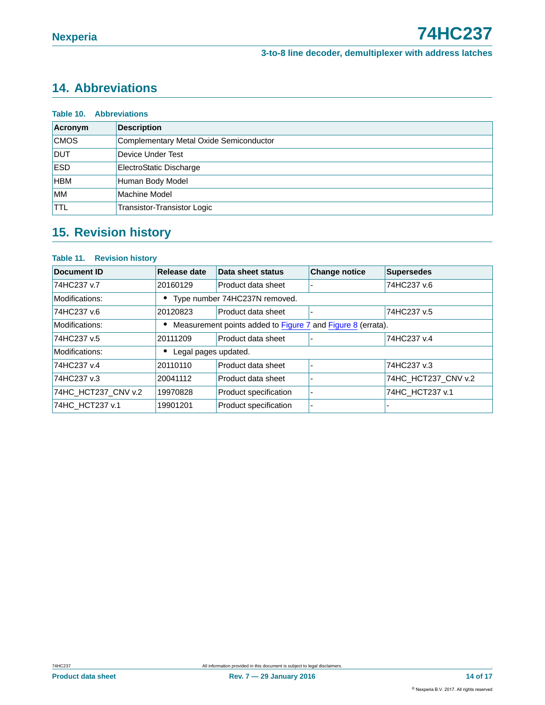### <span id="page-13-0"></span>**14. Abbreviations**

| Table 10. Abbreviations |                                         |  |  |  |  |  |  |
|-------------------------|-----------------------------------------|--|--|--|--|--|--|
| Acronym                 | <b>Description</b>                      |  |  |  |  |  |  |
| <b>CMOS</b>             | Complementary Metal Oxide Semiconductor |  |  |  |  |  |  |
| <b>DUT</b>              | Device Under Test                       |  |  |  |  |  |  |
| <b>ESD</b>              | ElectroStatic Discharge                 |  |  |  |  |  |  |
| <b>HBM</b>              | Human Body Model                        |  |  |  |  |  |  |
| MМ                      | Machine Model                           |  |  |  |  |  |  |
| <b>TTL</b>              | <b>Transistor-Transistor Logic</b>      |  |  |  |  |  |  |

### <span id="page-13-1"></span>**15. Revision history**

#### **Table 11. Revision history**

| <b>Document ID</b>  | Release date                                                | Data sheet status     | <b>Change notice</b>     | <b>Supersedes</b>   |  |  |  |  |
|---------------------|-------------------------------------------------------------|-----------------------|--------------------------|---------------------|--|--|--|--|
| 74HC237 v.7         | 20160129                                                    | Product data sheet    | ۰                        | 74HC237 v.6         |  |  |  |  |
| Modifications:      | Type number 74HC237N removed.                               |                       |                          |                     |  |  |  |  |
| 74HC237 v.6         | 20120823                                                    | Product data sheet    |                          | 74HC237 v.5         |  |  |  |  |
| Modifications:      | Measurement points added to Figure 7 and Figure 8 (errata). |                       |                          |                     |  |  |  |  |
| 74HC237 v.5         | 20111209                                                    | Product data sheet    |                          | 74HC237 v.4         |  |  |  |  |
| Modifications:      | Legal pages updated.                                        |                       |                          |                     |  |  |  |  |
| 74HC237 v.4         | 20110110                                                    | Product data sheet    |                          | 74HC237 v.3         |  |  |  |  |
| 74HC237 v.3         | 20041112                                                    | Product data sheet    | $\overline{\phantom{0}}$ | 74HC_HCT237_CNV v.2 |  |  |  |  |
| 74HC_HCT237_CNV v.2 | 19970828                                                    | Product specification | ٠                        | 74HC HCT237 v.1     |  |  |  |  |
| 74HC HCT237 v.1     | 19901201                                                    | Product specification |                          |                     |  |  |  |  |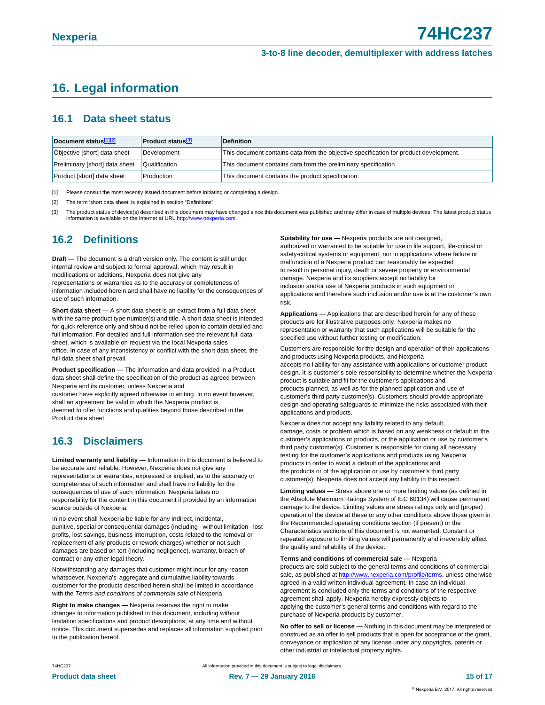### <span id="page-14-3"></span>**16. Legal information**

#### <span id="page-14-4"></span>**16.1 Data sheet status**

| Document status[1][2]          | <b>Product status</b> <sup>[3]</sup> | <b>Definition</b>                                                                     |
|--------------------------------|--------------------------------------|---------------------------------------------------------------------------------------|
| Objective [short] data sheet   | Development                          | This document contains data from the objective specification for product development. |
| Preliminary [short] data sheet | Qualification                        | This document contains data from the preliminary specification.                       |
| Product [short] data sheet     | Production                           | This document contains the product specification.                                     |

<span id="page-14-0"></span>[1] Please consult the most recently issued document before initiating or completing a design.

- <span id="page-14-1"></span>[2] The term 'short data sheet' is explained in section "Definitions".
- <span id="page-14-2"></span>[3] The product status of device(s) described in this document may have changed since this document was published and may differ in case of multiple devices. The latest product status information is available on the Internet at URL [http://www.nexperia](http://www.nexperia.com).com.

### <span id="page-14-5"></span>**16.2 Definitions**

**Draft —** The document is a draft version only. The content is still under internal review and subject to formal approval, which may result in modifications or additions. Nexperia does not give any representations or warranties as to the accuracy or completeness of information included herein and shall have no liability for the consequences of use of such information.

**Short data sheet —** A short data sheet is an extract from a full data sheet with the same product type number(s) and title. A short data sheet is intended for quick reference only and should not be relied upon to contain detailed and full information. For detailed and full information see the relevant full data sheet, which is available on request via the local Nexperia sales office. In case of any inconsistency or conflict with the short data sheet, the full data sheet shall prevail.

**Product specification —** The information and data provided in a Product data sheet shall define the specification of the product as agreed between Nexperia and its customer, unless Nexperia and

customer have explicitly agreed otherwise in writing. In no event however, shall an agreement be valid in which the Nexperia product is deemed to offer functions and qualities beyond those described in the Product data sheet.

### <span id="page-14-6"></span>**16.3 Disclaimers**

**Limited warranty and liability —** Information in this document is believed to be accurate and reliable. However, Nexperia does not give any representations or warranties, expressed or implied, as to the accuracy or completeness of such information and shall have no liability for the consequences of use of such information. Nexperia takes no responsibility for the content in this document if provided by an information source outside of Nexperia.

In no event shall Nexperia be liable for any indirect, incidental, punitive, special or consequential damages (including - without limitation - lost profits, lost savings, business interruption, costs related to the removal or replacement of any products or rework charges) whether or not such damages are based on tort (including negligence), warranty, breach of contract or any other legal theory.

Notwithstanding any damages that customer might incur for any reason whatsoever, Nexperia's aggregate and cumulative liability towards customer for the products described herein shall be limited in accordance with the *Terms and conditions of commercial sale* of Nexperia.

**Right to make changes —** Nexperia reserves the right to make changes to information published in this document, including without limitation specifications and product descriptions, at any time and without notice. This document supersedes and replaces all information supplied prior to the publication hereof.

**Suitability for use —** Nexperia products are not designed, authorized or warranted to be suitable for use in life support, life-critical or safety-critical systems or equipment, nor in applications where failure or malfunction of a Nexperia product can reasonably be expected to result in personal injury, death or severe property or environmental damage. Nexperia and its suppliers accept no liability for inclusion and/or use of Nexperia products in such equipment or applications and therefore such inclusion and/or use is at the customer's own risk.

**Applications —** Applications that are described herein for any of these products are for illustrative purposes only. Nexperia makes no representation or warranty that such applications will be suitable for the specified use without further testing or modification.

Customers are responsible for the design and operation of their applications and products using Nexperia products, and Nexperia accepts no liability for any assistance with applications or customer product design. It is customer's sole responsibility to determine whether the Nexperia product is suitable and fit for the customer's applications and products planned, as well as for the planned application and use of customer's third party customer(s). Customers should provide appropriate design and operating safeguards to minimize the risks associated with their applications and products.

Nexperia does not accept any liability related to any default, damage, costs or problem which is based on any weakness or default in the customer's applications or products, or the application or use by customer's third party customer(s). Customer is responsible for doing all necessary testing for the customer's applications and products using Nexperia products in order to avoid a default of the applications and the products or of the application or use by customer's third party customer(s). Nexperia does not accept any liability in this respect.

**Limiting values —** Stress above one or more limiting values (as defined in the Absolute Maximum Ratings System of IEC 60134) will cause permanent damage to the device. Limiting values are stress ratings only and (proper) operation of the device at these or any other conditions above those given in the Recommended operating conditions section (if present) or the Characteristics sections of this document is not warranted. Constant or repeated exposure to limiting values will permanently and irreversibly affect the quality and reliability of the device.

#### **Terms and conditions of commercial sale —** Nexperia

products are sold subject to the general terms and conditions of commercial sale, as published at [http://www.nexperia.com/profile/te](http://www.nexperia.com/profile/terms)rms, unless otherwise agreed in a valid written individual agreement. In case an individua agreement is concluded only the terms and conditions of the respective agreement shall apply. Nexperia hereby expressly objects to applying the customer's general terms and conditions with regard to the purchase of Nexperia products by customer.

**No offer to sell or license —** Nothing in this document may be interpreted or construed as an offer to sell products that is open for acceptance or the grant, conveyance or implication of any license under any copyrights, patents or other industrial or intellectual property rights.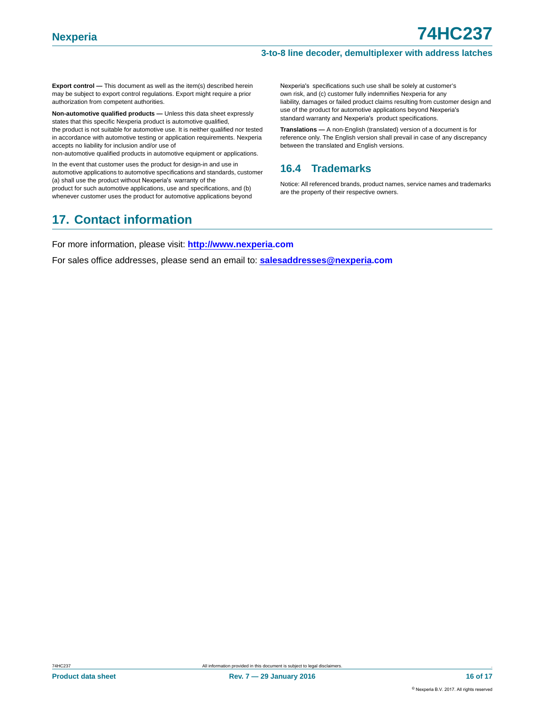**Export control —** This document as well as the item(s) described herein may be subject to export control regulations. Export might require a prior authorization from competent authorities.

**Non-automotive qualified products —** Unless this data sheet expressly states that this specific Nexperia product is automotive qualified, the product is not suitable for automotive use. It is neither qualified nor tested in accordance with automotive testing or application requirements. Nexperia accepts no liability for inclusion and/or use of

non-automotive qualified products in automotive equipment or applications.

In the event that customer uses the product for design-in and use in automotive applications to automotive specifications and standards, customer (a) shall use the product without Nexperia's warranty of the product for such automotive applications, use and specifications, and (b) whenever customer uses the product for automotive applications beyond

### <span id="page-15-1"></span>**17. Contact information**

Nexperia's specifications such use shall be solely at customer's own risk, and (c) customer fully indemnifies Nexperia for any liability, damages or failed product claims resulting from customer design and use of the product for automotive applications beyond Nexperia's standard warranty and Nexperia's product specifications.

**Translations —** A non-English (translated) version of a document is for reference only. The English version shall prevail in case of any discrepancy between the translated and English versions.

#### <span id="page-15-0"></span>**16.4 Trademarks**

Notice: All referenced brands, product names, service names and trademarks are the property of their respective owners.

For more information, please visit: **http://www.nexperia.com**

For sales office addresses, please send an email to: **salesaddresses@nexperia.com**